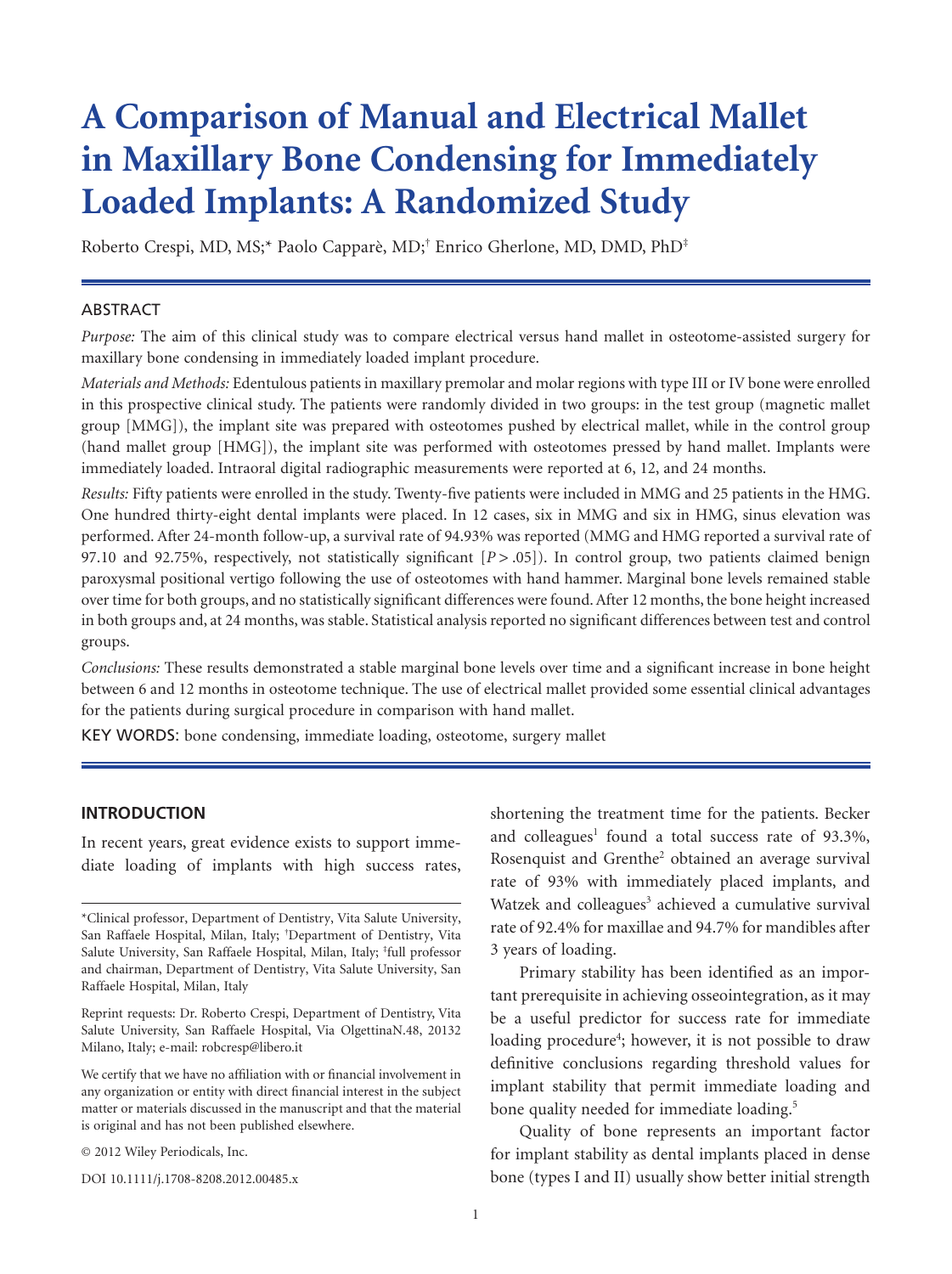# **A Comparison of Manual and Electrical Mallet in Maxillary Bone Condensing for Immediately Loaded Implants: A Randomized Study**

Roberto Crespi, MD, MS;\* Paolo Capparè, MD;† Enrico Gherlone, MD, DMD, PhD‡

#### ABSTRACT

*Purpose:* The aim of this clinical study was to compare electrical versus hand mallet in osteotome-assisted surgery for maxillary bone condensing in immediately loaded implant procedure.

*Materials and Methods:* Edentulous patients in maxillary premolar and molar regions with type III or IV bone were enrolled in this prospective clinical study. The patients were randomly divided in two groups: in the test group (magnetic mallet group [MMG]), the implant site was prepared with osteotomes pushed by electrical mallet, while in the control group (hand mallet group [HMG]), the implant site was performed with osteotomes pressed by hand mallet. Implants were immediately loaded. Intraoral digital radiographic measurements were reported at 6, 12, and 24 months.

*Results:* Fifty patients were enrolled in the study. Twenty-five patients were included in MMG and 25 patients in the HMG. One hundred thirty-eight dental implants were placed. In 12 cases, six in MMG and six in HMG, sinus elevation was performed. After 24-month follow-up, a survival rate of 94.93% was reported (MMG and HMG reported a survival rate of 97.10 and 92.75%, respectively, not statistically significant  $[P > .05]$ ). In control group, two patients claimed benign paroxysmal positional vertigo following the use of osteotomes with hand hammer. Marginal bone levels remained stable over time for both groups, and no statistically significant differences were found. After 12 months, the bone height increased in both groups and, at 24 months, was stable. Statistical analysis reported no significant differences between test and control groups.

*Conclusions:* These results demonstrated a stable marginal bone levels over time and a significant increase in bone height between 6 and 12 months in osteotome technique. The use of electrical mallet provided some essential clinical advantages for the patients during surgical procedure in comparison with hand mallet.

KEY WORDS: bone condensing, immediate loading, osteotome, surgery mallet

### **INTRODUCTION**

In recent years, great evidence exists to support immediate loading of implants with high success rates,

Reprint requests: Dr. Roberto Crespi, Department of Dentistry, Vita Salute University, San Raffaele Hospital, Via OlgettinaN.48, 20132 Milano, Italy; e-mail: robcresp@libero.it

We certify that we have no affiliation with or financial involvement in any organization or entity with direct financial interest in the subject matter or materials discussed in the manuscript and that the material is original and has not been published elsewhere.

© 2012 Wiley Periodicals, Inc.

DOI 10.1111/j.1708-8208.2012.00485.x

shortening the treatment time for the patients. Becker and colleagues<sup>1</sup> found a total success rate of  $93.3\%$ , Rosenquist and Grenthe<sup>2</sup> obtained an average survival rate of 93% with immediately placed implants, and Watzek and colleagues<sup>3</sup> achieved a cumulative survival rate of 92.4% for maxillae and 94.7% for mandibles after 3 years of loading.

Primary stability has been identified as an important prerequisite in achieving osseointegration, as it may be a useful predictor for success rate for immediate loading procedure<sup>4</sup>; however, it is not possible to draw definitive conclusions regarding threshold values for implant stability that permit immediate loading and bone quality needed for immediate loading.<sup>5</sup>

Quality of bone represents an important factor for implant stability as dental implants placed in dense bone (types I and II) usually show better initial strength

<sup>\*</sup>Clinical professor, Department of Dentistry, Vita Salute University, San Raffaele Hospital, Milan, Italy; † Department of Dentistry, Vita Salute University, San Raffaele Hospital, Milan, Italy; <sup>‡</sup>full professor and chairman, Department of Dentistry, Vita Salute University, San Raffaele Hospital, Milan, Italy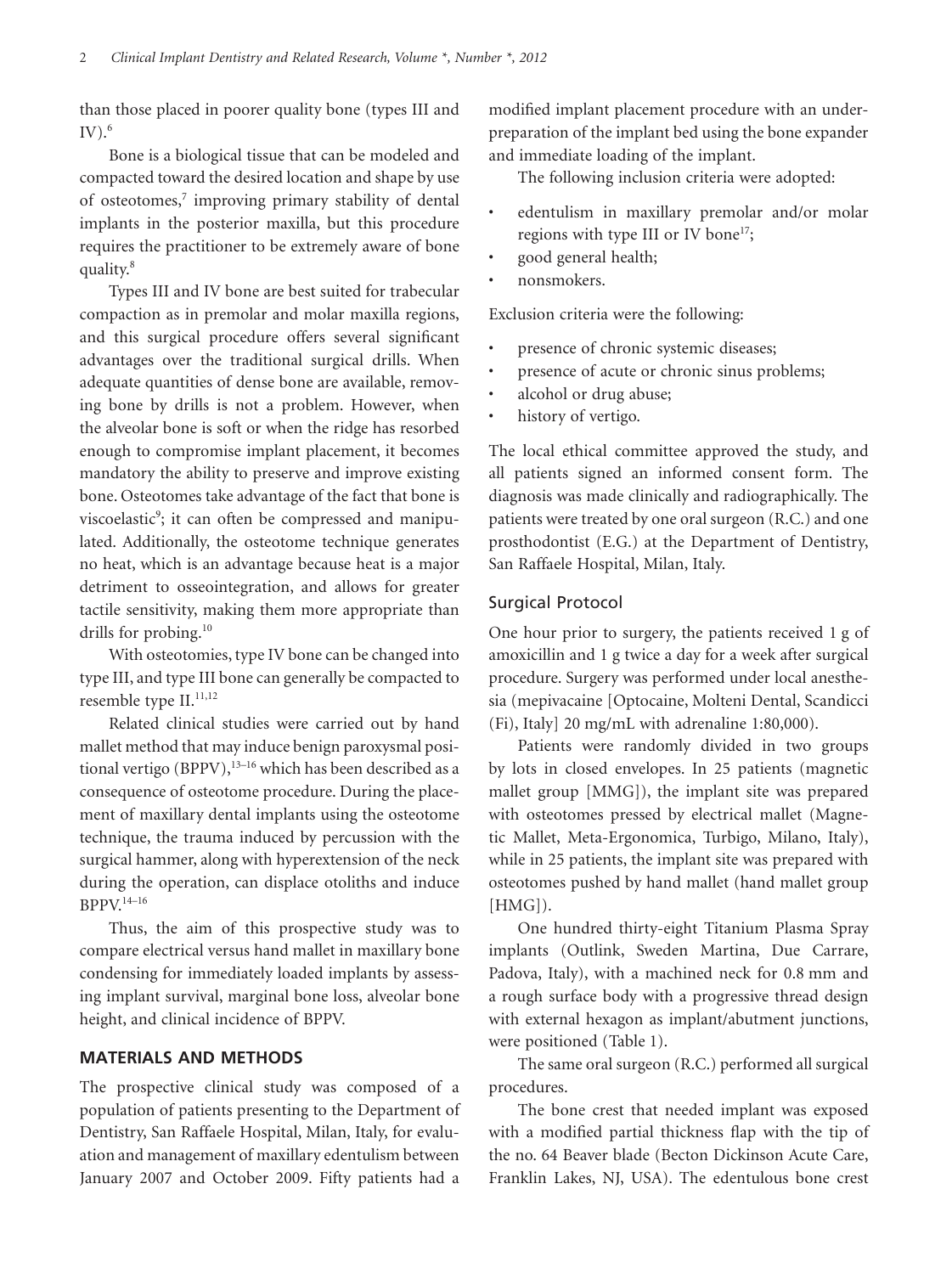than those placed in poorer quality bone (types III and  $\rm IV.$ <sup>6</sup>

Bone is a biological tissue that can be modeled and compacted toward the desired location and shape by use of osteotomes,<sup>7</sup> improving primary stability of dental implants in the posterior maxilla, but this procedure requires the practitioner to be extremely aware of bone quality.8

Types III and IV bone are best suited for trabecular compaction as in premolar and molar maxilla regions, and this surgical procedure offers several significant advantages over the traditional surgical drills. When adequate quantities of dense bone are available, removing bone by drills is not a problem. However, when the alveolar bone is soft or when the ridge has resorbed enough to compromise implant placement, it becomes mandatory the ability to preserve and improve existing bone. Osteotomes take advantage of the fact that bone is viscoelastic<sup>9</sup>; it can often be compressed and manipulated. Additionally, the osteotome technique generates no heat, which is an advantage because heat is a major detriment to osseointegration, and allows for greater tactile sensitivity, making them more appropriate than drills for probing.<sup>10</sup>

With osteotomies, type IV bone can be changed into type III, and type III bone can generally be compacted to resemble type II.<sup>11,12</sup>

Related clinical studies were carried out by hand mallet method that may induce benign paroxysmal positional vertigo (BPPV), $13-16$  which has been described as a consequence of osteotome procedure. During the placement of maxillary dental implants using the osteotome technique, the trauma induced by percussion with the surgical hammer, along with hyperextension of the neck during the operation, can displace otoliths and induce  $BPPV$ <sup>14–16</sup>

Thus, the aim of this prospective study was to compare electrical versus hand mallet in maxillary bone condensing for immediately loaded implants by assessing implant survival, marginal bone loss, alveolar bone height, and clinical incidence of BPPV.

## **MATERIALS AND METHODS**

The prospective clinical study was composed of a population of patients presenting to the Department of Dentistry, San Raffaele Hospital, Milan, Italy, for evaluation and management of maxillary edentulism between January 2007 and October 2009. Fifty patients had a

modified implant placement procedure with an underpreparation of the implant bed using the bone expander and immediate loading of the implant.

The following inclusion criteria were adopted:

- edentulism in maxillary premolar and/or molar regions with type III or IV bone<sup>17</sup>;
- good general health;
- nonsmokers.

Exclusion criteria were the following:

- presence of chronic systemic diseases;
- presence of acute or chronic sinus problems;
- alcohol or drug abuse;
- history of vertigo.

The local ethical committee approved the study, and all patients signed an informed consent form. The diagnosis was made clinically and radiographically. The patients were treated by one oral surgeon (R.C.) and one prosthodontist (E.G.) at the Department of Dentistry, San Raffaele Hospital, Milan, Italy.

## Surgical Protocol

One hour prior to surgery, the patients received 1 g of amoxicillin and 1 g twice a day for a week after surgical procedure. Surgery was performed under local anesthesia (mepivacaine [Optocaine, Molteni Dental, Scandicci (Fi), Italy] 20 mg/mL with adrenaline 1:80,000).

Patients were randomly divided in two groups by lots in closed envelopes. In 25 patients (magnetic mallet group [MMG]), the implant site was prepared with osteotomes pressed by electrical mallet (Magnetic Mallet, Meta-Ergonomica, Turbigo, Milano, Italy), while in 25 patients, the implant site was prepared with osteotomes pushed by hand mallet (hand mallet group [HMG]).

One hundred thirty-eight Titanium Plasma Spray implants (Outlink, Sweden Martina, Due Carrare, Padova, Italy), with a machined neck for 0.8 mm and a rough surface body with a progressive thread design with external hexagon as implant/abutment junctions, were positioned (Table 1).

The same oral surgeon (R.C.) performed all surgical procedures.

The bone crest that needed implant was exposed with a modified partial thickness flap with the tip of the no. 64 Beaver blade (Becton Dickinson Acute Care, Franklin Lakes, NJ, USA). The edentulous bone crest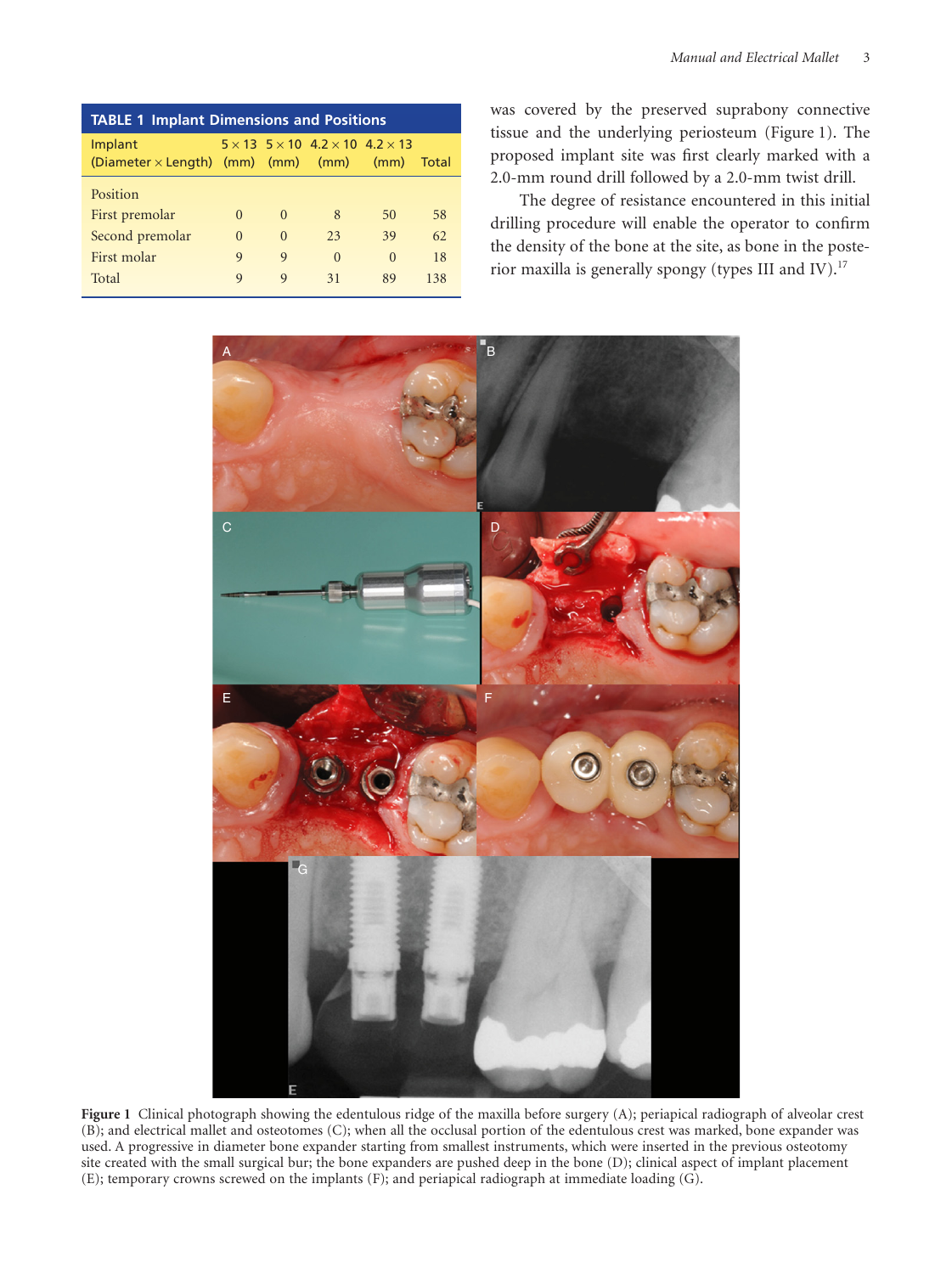| <b>TABLE 1 Implant Dimensions and Positions</b>                |             |             |                                                             |          |       |
|----------------------------------------------------------------|-------------|-------------|-------------------------------------------------------------|----------|-------|
| Implant<br>$(Diameter \times Length)$ (mm) (mm) (mm) (mm) (mm) |             |             | $5 \times 13$ $5 \times 10$ $4.2 \times 10$ $4.2 \times 13$ |          | Total |
| Position                                                       |             |             |                                                             |          |       |
| First premolar                                                 | $\Omega$    | $\Omega$    | 8                                                           | 50       | 58    |
| Second premolar                                                | $\Omega$    | $\Omega$    | 23                                                          | 39       | 62    |
| First molar                                                    | $\mathbf Q$ | 9           | $\Omega$                                                    | $\Omega$ | 18    |
| Total                                                          | $\mathbf Q$ | $\mathbf Q$ | 31                                                          | 89       | 138   |

was covered by the preserved suprabony connective tissue and the underlying periosteum (Figure 1). The proposed implant site was first clearly marked with a 2.0-mm round drill followed by a 2.0-mm twist drill.

The degree of resistance encountered in this initial drilling procedure will enable the operator to confirm the density of the bone at the site, as bone in the posterior maxilla is generally spongy (types III and IV).<sup>17</sup>



**Figure 1** Clinical photograph showing the edentulous ridge of the maxilla before surgery (A); periapical radiograph of alveolar crest (B); and electrical mallet and osteotomes (C); when all the occlusal portion of the edentulous crest was marked, bone expander was used. A progressive in diameter bone expander starting from smallest instruments, which were inserted in the previous osteotomy site created with the small surgical bur; the bone expanders are pushed deep in the bone (D); clinical aspect of implant placement (E); temporary crowns screwed on the implants (F); and periapical radiograph at immediate loading (G).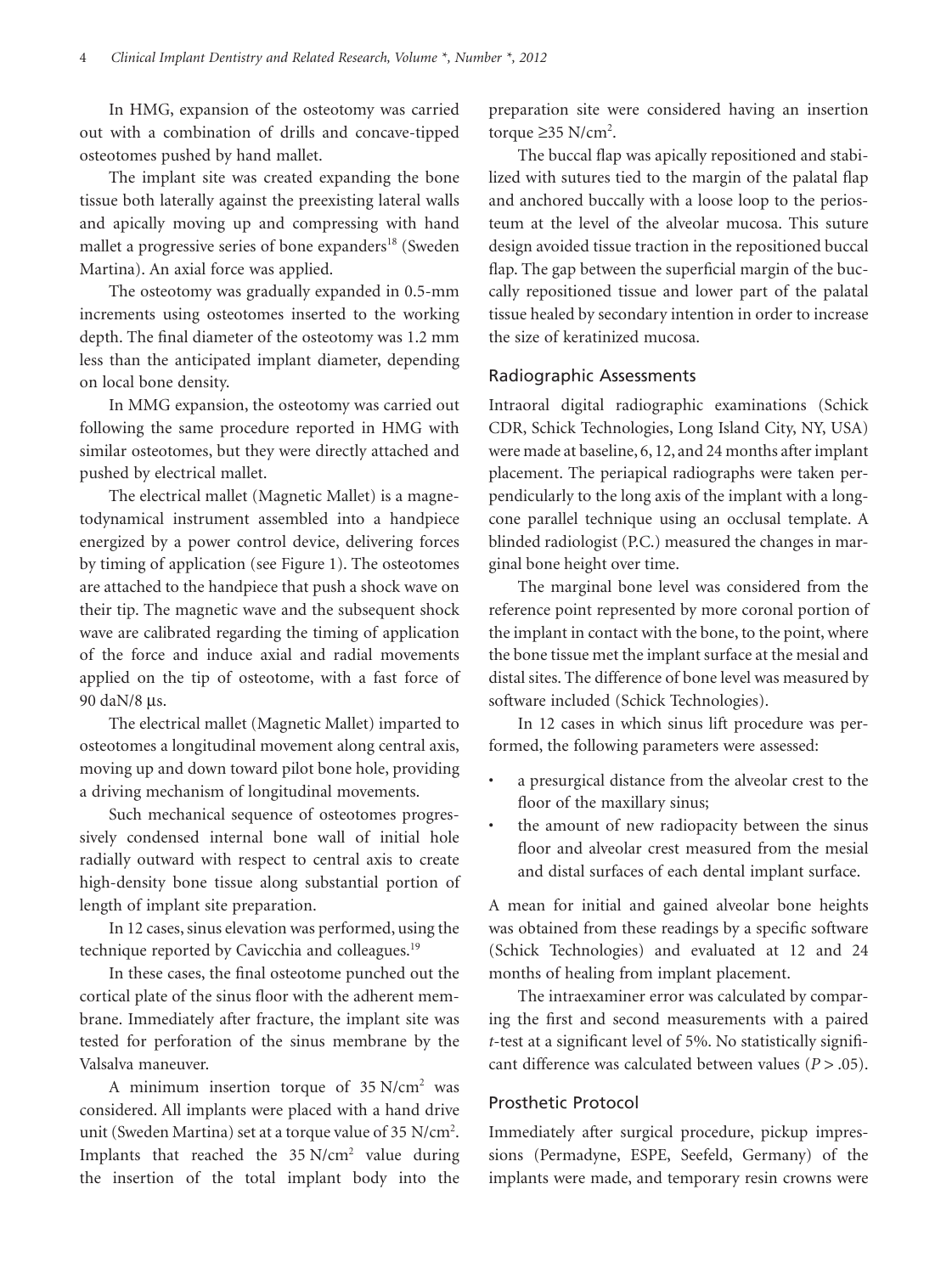In HMG, expansion of the osteotomy was carried out with a combination of drills and concave-tipped osteotomes pushed by hand mallet.

The implant site was created expanding the bone tissue both laterally against the preexisting lateral walls and apically moving up and compressing with hand mallet a progressive series of bone expanders<sup>18</sup> (Sweden Martina). An axial force was applied.

The osteotomy was gradually expanded in 0.5-mm increments using osteotomes inserted to the working depth. The final diameter of the osteotomy was 1.2 mm less than the anticipated implant diameter, depending on local bone density.

In MMG expansion, the osteotomy was carried out following the same procedure reported in HMG with similar osteotomes, but they were directly attached and pushed by electrical mallet.

The electrical mallet (Magnetic Mallet) is a magnetodynamical instrument assembled into a handpiece energized by a power control device, delivering forces by timing of application (see Figure 1). The osteotomes are attached to the handpiece that push a shock wave on their tip. The magnetic wave and the subsequent shock wave are calibrated regarding the timing of application of the force and induce axial and radial movements applied on the tip of osteotome, with a fast force of 90 daN/8 µs.

The electrical mallet (Magnetic Mallet) imparted to osteotomes a longitudinal movement along central axis, moving up and down toward pilot bone hole, providing a driving mechanism of longitudinal movements.

Such mechanical sequence of osteotomes progressively condensed internal bone wall of initial hole radially outward with respect to central axis to create high-density bone tissue along substantial portion of length of implant site preparation.

In 12 cases, sinus elevation was performed, using the technique reported by Cavicchia and colleagues.<sup>19</sup>

In these cases, the final osteotome punched out the cortical plate of the sinus floor with the adherent membrane. Immediately after fracture, the implant site was tested for perforation of the sinus membrane by the Valsalva maneuver.

A minimum insertion torque of  $35$  N/cm<sup>2</sup> was considered. All implants were placed with a hand drive unit (Sweden Martina) set at a torque value of 35 N/cm<sup>2</sup>. Implants that reached the 35 N/cm<sup>2</sup> value during the insertion of the total implant body into the

preparation site were considered having an insertion torque  $\geq$ 35 N/cm<sup>2</sup>.

The buccal flap was apically repositioned and stabilized with sutures tied to the margin of the palatal flap and anchored buccally with a loose loop to the periosteum at the level of the alveolar mucosa. This suture design avoided tissue traction in the repositioned buccal flap. The gap between the superficial margin of the buccally repositioned tissue and lower part of the palatal tissue healed by secondary intention in order to increase the size of keratinized mucosa.

## Radiographic Assessments

Intraoral digital radiographic examinations (Schick CDR, Schick Technologies, Long Island City, NY, USA) were made at baseline, 6, 12, and 24 months after implant placement. The periapical radiographs were taken perpendicularly to the long axis of the implant with a longcone parallel technique using an occlusal template. A blinded radiologist (P.C.) measured the changes in marginal bone height over time.

The marginal bone level was considered from the reference point represented by more coronal portion of the implant in contact with the bone, to the point, where the bone tissue met the implant surface at the mesial and distal sites. The difference of bone level was measured by software included (Schick Technologies).

In 12 cases in which sinus lift procedure was performed, the following parameters were assessed:

- a presurgical distance from the alveolar crest to the floor of the maxillary sinus;
- the amount of new radiopacity between the sinus floor and alveolar crest measured from the mesial and distal surfaces of each dental implant surface.

A mean for initial and gained alveolar bone heights was obtained from these readings by a specific software (Schick Technologies) and evaluated at 12 and 24 months of healing from implant placement.

The intraexaminer error was calculated by comparing the first and second measurements with a paired *t*-test at a significant level of 5%. No statistically significant difference was calculated between values (*P* > .05).

## Prosthetic Protocol

Immediately after surgical procedure, pickup impressions (Permadyne, ESPE, Seefeld, Germany) of the implants were made, and temporary resin crowns were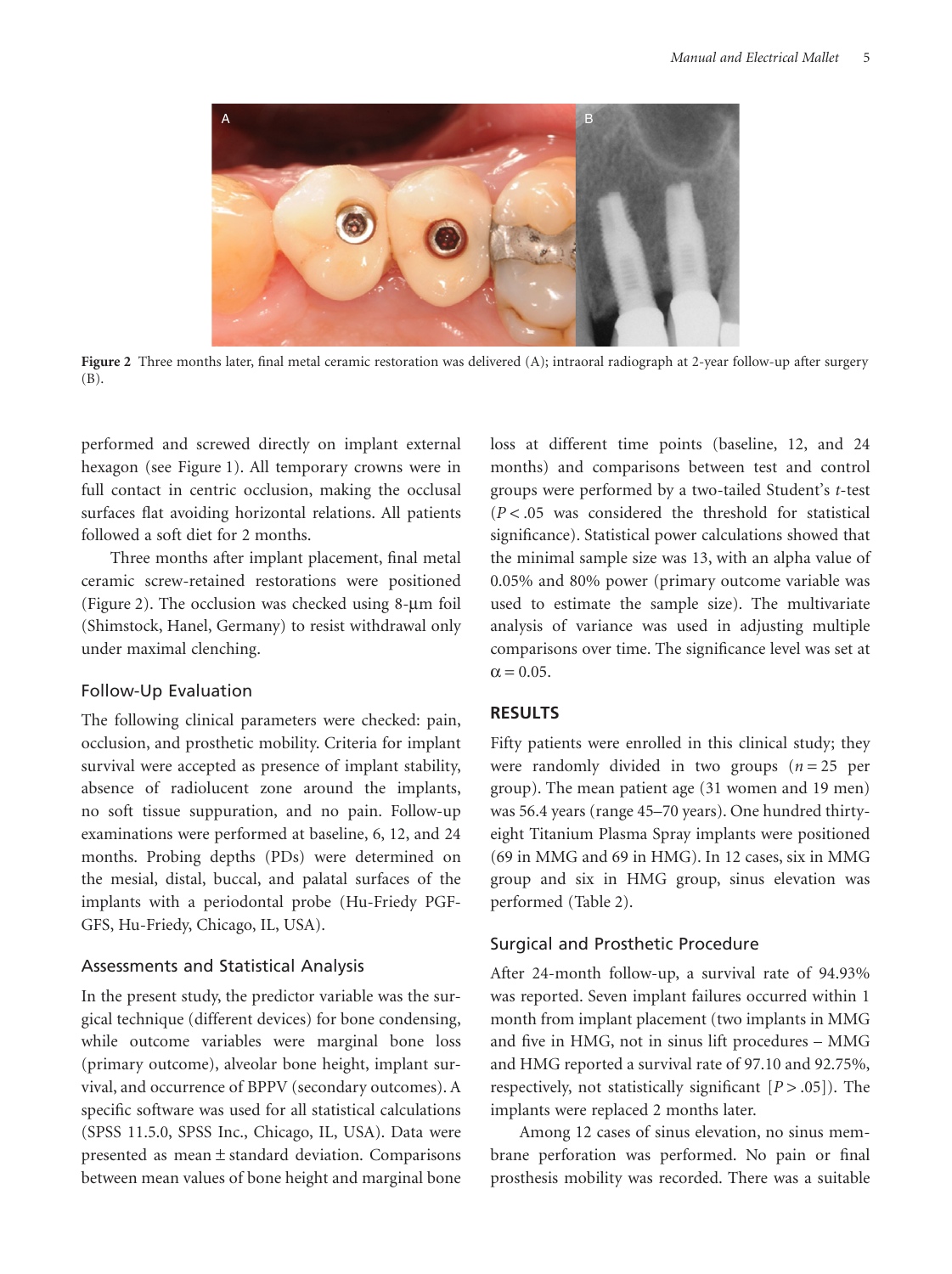

**Figure 2** Three months later, final metal ceramic restoration was delivered (A); intraoral radiograph at 2-year follow-up after surgery (B).

performed and screwed directly on implant external hexagon (see Figure 1). All temporary crowns were in full contact in centric occlusion, making the occlusal surfaces flat avoiding horizontal relations. All patients followed a soft diet for 2 months.

Three months after implant placement, final metal ceramic screw-retained restorations were positioned (Figure 2). The occlusion was checked using  $8-\mu m$  foil (Shimstock, Hanel, Germany) to resist withdrawal only under maximal clenching.

#### Follow-Up Evaluation

The following clinical parameters were checked: pain, occlusion, and prosthetic mobility. Criteria for implant survival were accepted as presence of implant stability, absence of radiolucent zone around the implants, no soft tissue suppuration, and no pain. Follow-up examinations were performed at baseline, 6, 12, and 24 months. Probing depths (PDs) were determined on the mesial, distal, buccal, and palatal surfaces of the implants with a periodontal probe (Hu-Friedy PGF-GFS, Hu-Friedy, Chicago, IL, USA).

### Assessments and Statistical Analysis

In the present study, the predictor variable was the surgical technique (different devices) for bone condensing, while outcome variables were marginal bone loss (primary outcome), alveolar bone height, implant survival, and occurrence of BPPV (secondary outcomes). A specific software was used for all statistical calculations (SPSS 11.5.0, SPSS Inc., Chicago, IL, USA). Data were presented as mean  $\pm$  standard deviation. Comparisons between mean values of bone height and marginal bone loss at different time points (baseline, 12, and 24 months) and comparisons between test and control groups were performed by a two-tailed Student's *t*-test (*P* < .05 was considered the threshold for statistical significance). Statistical power calculations showed that the minimal sample size was 13, with an alpha value of 0.05% and 80% power (primary outcome variable was used to estimate the sample size). The multivariate analysis of variance was used in adjusting multiple comparisons over time. The significance level was set at  $\alpha = 0.05$ .

## **RESULTS**

Fifty patients were enrolled in this clinical study; they were randomly divided in two groups  $(n = 25$  per group). The mean patient age (31 women and 19 men) was 56.4 years (range 45–70 years). One hundred thirtyeight Titanium Plasma Spray implants were positioned (69 in MMG and 69 in HMG). In 12 cases, six in MMG group and six in HMG group, sinus elevation was performed (Table 2).

### Surgical and Prosthetic Procedure

After 24-month follow-up, a survival rate of 94.93% was reported. Seven implant failures occurred within 1 month from implant placement (two implants in MMG and five in HMG, not in sinus lift procedures – MMG and HMG reported a survival rate of 97.10 and 92.75%, respectively, not statistically significant [*P* > .05]). The implants were replaced 2 months later.

Among 12 cases of sinus elevation, no sinus membrane perforation was performed. No pain or final prosthesis mobility was recorded. There was a suitable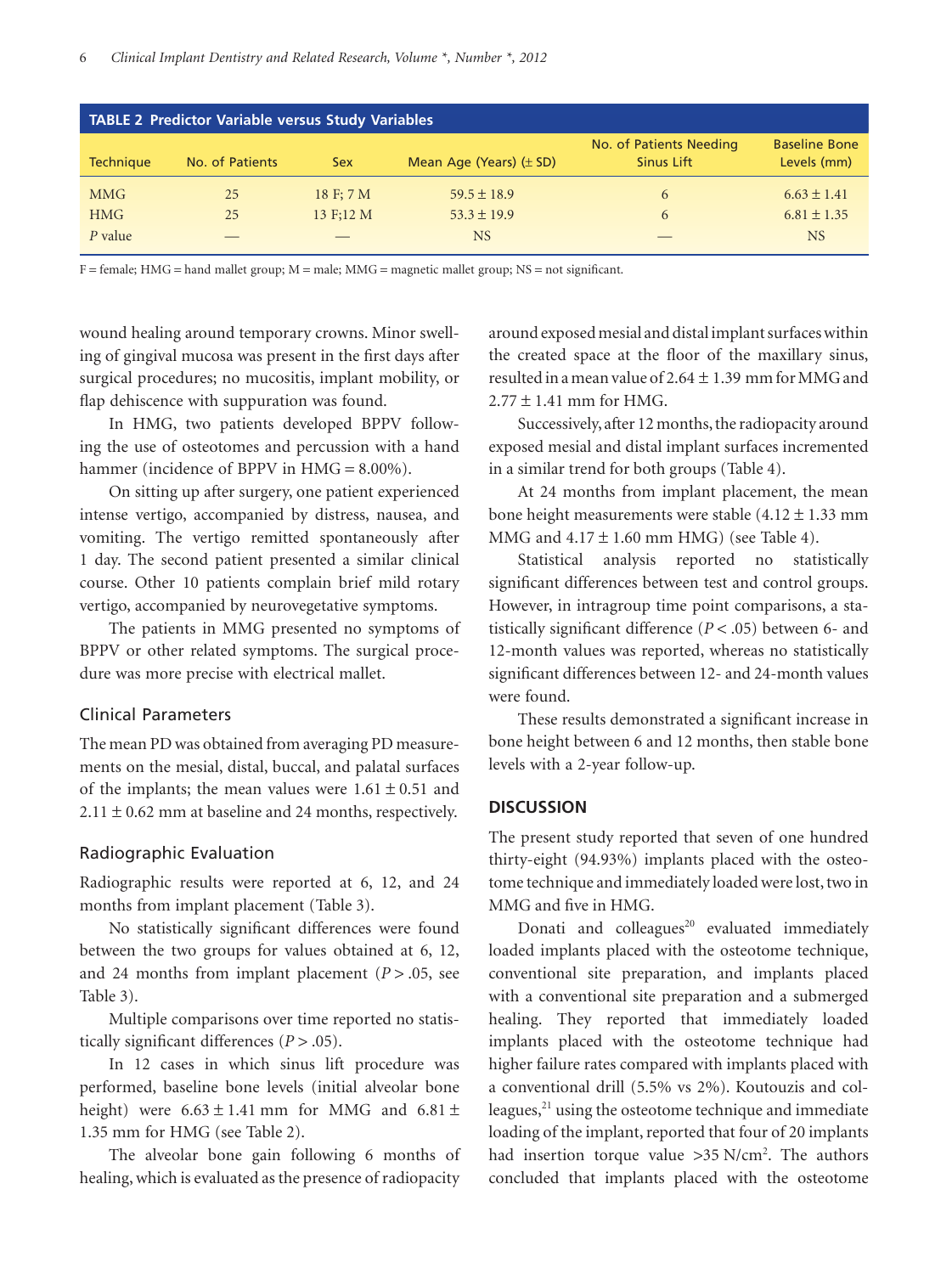|                  | <b>TABLE 2 Predictor Variable versus Study Variables</b> |            |                             |                                       |                                     |
|------------------|----------------------------------------------------------|------------|-----------------------------|---------------------------------------|-------------------------------------|
| <b>Technique</b> | No. of Patients                                          | <b>Sex</b> | Mean Age (Years) $(\pm$ SD) | No. of Patients Needing<br>Sinus Lift | <b>Baseline Bone</b><br>Levels (mm) |
| <b>MMG</b>       | 25                                                       | 18 F: 7 M  | $59.5 \pm 18.9$             | 6                                     | $6.63 \pm 1.41$                     |
| <b>HMG</b>       | 25                                                       | 13 F:12 M  | $53.3 \pm 19.9$             | 6                                     | $6.81 \pm 1.35$                     |
| $P$ value        |                                                          |            | <b>NS</b>                   |                                       | <b>NS</b>                           |

F = female; HMG = hand mallet group; M = male; MMG = magnetic mallet group; NS = not significant.

wound healing around temporary crowns. Minor swelling of gingival mucosa was present in the first days after surgical procedures; no mucositis, implant mobility, or flap dehiscence with suppuration was found.

In HMG, two patients developed BPPV following the use of osteotomes and percussion with a hand hammer (incidence of BPPV in HMG = 8.00%).

On sitting up after surgery, one patient experienced intense vertigo, accompanied by distress, nausea, and vomiting. The vertigo remitted spontaneously after 1 day. The second patient presented a similar clinical course. Other 10 patients complain brief mild rotary vertigo, accompanied by neurovegetative symptoms.

The patients in MMG presented no symptoms of BPPV or other related symptoms. The surgical procedure was more precise with electrical mallet.

## Clinical Parameters

The mean PD was obtained from averaging PD measurements on the mesial, distal, buccal, and palatal surfaces of the implants; the mean values were  $1.61 \pm 0.51$  and  $2.11 \pm 0.62$  mm at baseline and 24 months, respectively.

#### Radiographic Evaluation

Radiographic results were reported at 6, 12, and 24 months from implant placement (Table 3).

No statistically significant differences were found between the two groups for values obtained at 6, 12, and 24 months from implant placement  $(P > .05)$ , see Table 3).

Multiple comparisons over time reported no statistically significant differences (*P* > .05).

In 12 cases in which sinus lift procedure was performed, baseline bone levels (initial alveolar bone height) were  $6.63 \pm 1.41$  mm for MMG and  $6.81 \pm$ 1.35 mm for HMG (see Table 2).

The alveolar bone gain following 6 months of healing, which is evaluated as the presence of radiopacity

around exposed mesial and distal implant surfaces within the created space at the floor of the maxillary sinus, resulted in a mean value of  $2.64 \pm 1.39$  mm for MMG and  $2.77 \pm 1.41$  mm for HMG.

Successively, after 12 months, the radiopacity around exposed mesial and distal implant surfaces incremented in a similar trend for both groups (Table 4).

At 24 months from implant placement, the mean bone height measurements were stable  $(4.12 \pm 1.33 \text{ mm})$ MMG and  $4.17 \pm 1.60$  mm HMG) (see Table 4).

Statistical analysis reported no statistically significant differences between test and control groups. However, in intragroup time point comparisons, a statistically significant difference (*P* < .05) between 6- and 12-month values was reported, whereas no statistically significant differences between 12- and 24-month values were found.

These results demonstrated a significant increase in bone height between 6 and 12 months, then stable bone levels with a 2-year follow-up.

## **DISCUSSION**

The present study reported that seven of one hundred thirty-eight (94.93%) implants placed with the osteotome technique and immediately loaded were lost, two in MMG and five in HMG.

Donati and colleagues $^{20}$  evaluated immediately loaded implants placed with the osteotome technique, conventional site preparation, and implants placed with a conventional site preparation and a submerged healing. They reported that immediately loaded implants placed with the osteotome technique had higher failure rates compared with implants placed with a conventional drill (5.5% vs 2%). Koutouzis and colleagues, $^{21}$  using the osteotome technique and immediate loading of the implant, reported that four of 20 implants had insertion torque value > 35 N/cm<sup>2</sup>. The authors concluded that implants placed with the osteotome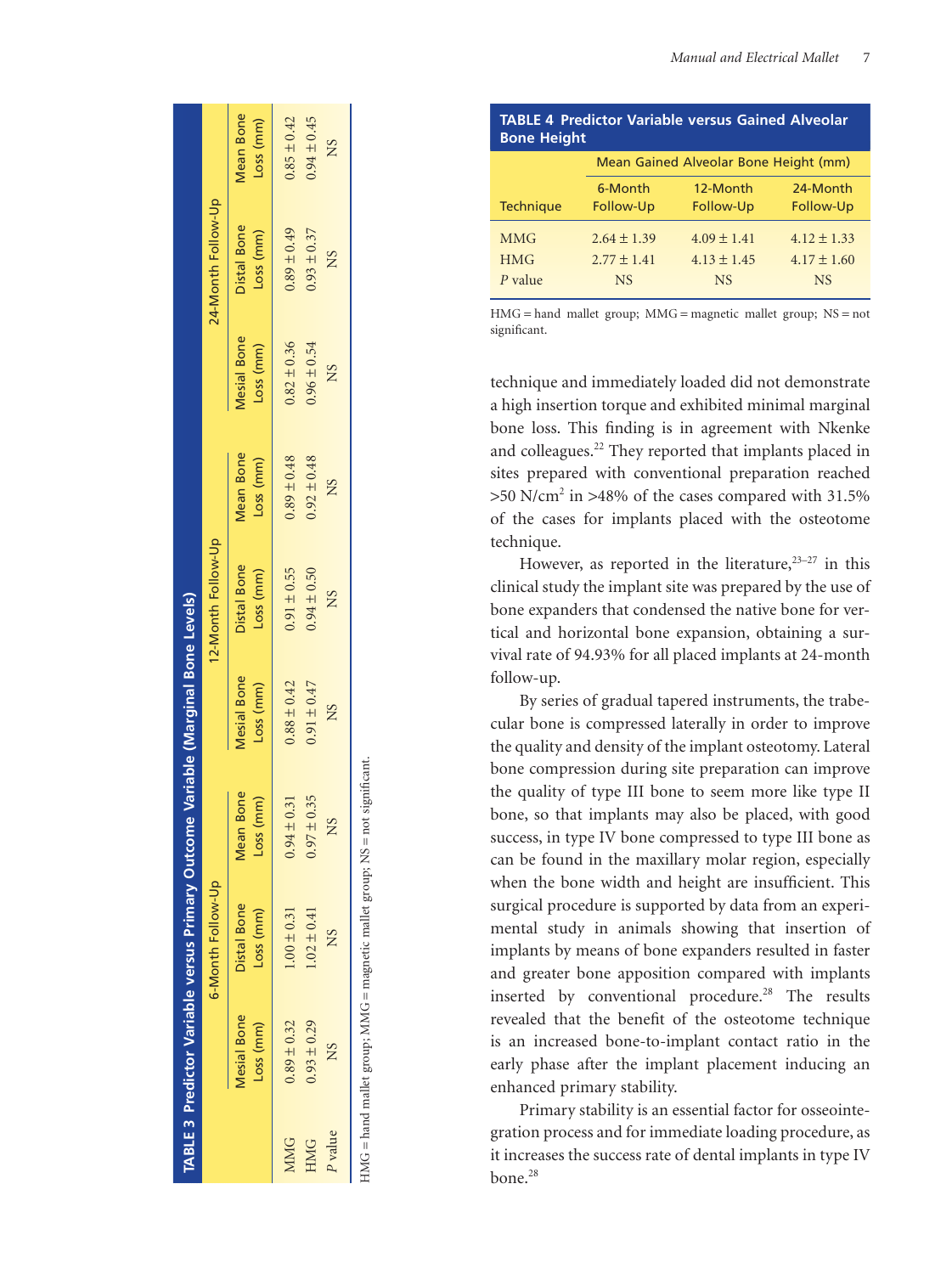| <b>Bone Height</b> |                 |                                       |                 |
|--------------------|-----------------|---------------------------------------|-----------------|
|                    |                 | Mean Gained Alveolar Bone Height (mm) |                 |
|                    | 6-Month         | 12-Month                              | 24-Month        |
| <b>Technique</b>   | Follow-Up       | Follow-Up                             | Follow-Up       |
| <b>MMG</b>         | $2.64 \pm 1.39$ | $4.09 \pm 1.41$                       | $4.12 \pm 1.33$ |
| <b>HMG</b>         | $2.77 \pm 1.41$ | $4.13 \pm 1.45$                       | $4.17 \pm 1.60$ |
| $P$ value          | <b>NS</b>       | <b>NS</b>                             | <b>NS</b>       |

**TABLE 4 Predictor Variable versus Gained Alveolar**

HMG = hand mallet group; MMG = magnetic mallet group; NS = not significant.

technique and immediately loaded did not demonstrate a high insertion torque and exhibited minimal marginal bone loss. This finding is in agreement with Nkenke and colleagues.22 They reported that implants placed in sites prepared with conventional preparation reached >50 N/cm2 in >48% of the cases compared with 31.5% of the cases for implants placed with the osteotome technique.

However, as reported in the literature,  $23-27$  in this clinical study the implant site was prepared by the use of bone expanders that condensed the native bone for vertical and horizontal bone expansion, obtaining a survival rate of 94.93% for all placed implants at 24-month follow-up.

By series of gradual tapered instruments, the trabecular bone is compressed laterally in order to improve the quality and density of the implant osteotomy. Lateral bone compression during site preparation can improve the quality of type III bone to seem more like type II bone, so that implants may also be placed, with good success, in type IV bone compressed to type III bone as can be found in the maxillary molar region, especially when the bone width and height are insufficient. This surgical procedure is supported by data from an experimental study in animals showing that insertion of implants by means of bone expanders resulted in faster and greater bone apposition compared with implants inserted by conventional procedure. $^{28}$  The results revealed that the benefit of the osteotome technique is an increased bone-to-implant contact ratio in the early phase after the implant placement inducing an enhanced primary stability.

Primary stability is an essential factor for osseointegration process and for immediate loading procedure, as it increases the success rate of dental implants in type IV bone. 28

|            |                                 |                          | TABLE 3 Predictor Variable versus Primary Outcome Variable (Marginal Bone Levels) |                          |                          |                               |                                 |                          |                               |
|------------|---------------------------------|--------------------------|-----------------------------------------------------------------------------------|--------------------------|--------------------------|-------------------------------|---------------------------------|--------------------------|-------------------------------|
|            |                                 | 6-Month Follow-Up        |                                                                                   |                          | 12-Month Follow-Up       |                               |                                 | 24-Month Follow-Up       |                               |
|            | <b>Mesial Bone</b><br>Loss (mm) | Distal Bone<br>Loss (mm) | Mean Bone<br>Loss (mm)                                                            | Mesial Bone<br>Loss (mm) | Distal Bone<br>Loss (mm) | <b>Mean Bone</b><br>Loss (mm) | <b>Mesial Bone</b><br>Loss (mm) | Distal Bone<br>Loss (mm) | <b>Mean Bone</b><br>Loss (mm) |
| MMG        | $0.89 \pm 0.32$                 | $1.00 \pm 0.31$          | $0.94 \pm 0.31$                                                                   | $0.88 \pm 0.42$          | $0.91 \pm 0.55$          | $0.89 \pm 0.48$               | $0.82 \pm 0.36$                 | $0.89 \pm 0.49$          | $0.85 \pm 0.42$               |
| <b>HMG</b> | $0.93 \pm 0.29$                 | $1.02 \pm 0.41$          | $0.97 \pm 0.35$                                                                   | $0.91 \pm 0.47$          | $0.94 \pm 0.50$          | $0.92 \pm 0.48$               | $0.96 \pm 0.54$                 | $0.93 \pm 0.37$          | $0.94 \pm 0.45$               |
| P value    | NS                              | Ž                        | SN                                                                                | NS                       | <b>NS</b>                | NS                            | NS                              | NS                       | <b>NS</b>                     |
|            |                                 |                          | $\ddot{\phantom{a}}$                                                              |                          |                          |                               |                                 |                          |                               |

HMG = hand mallet group; MMG = magnetic mallet group; NS = not significant.  $HMG =$  hand mallet group; MMG = magnetic mallet group;  $NS =$  not significant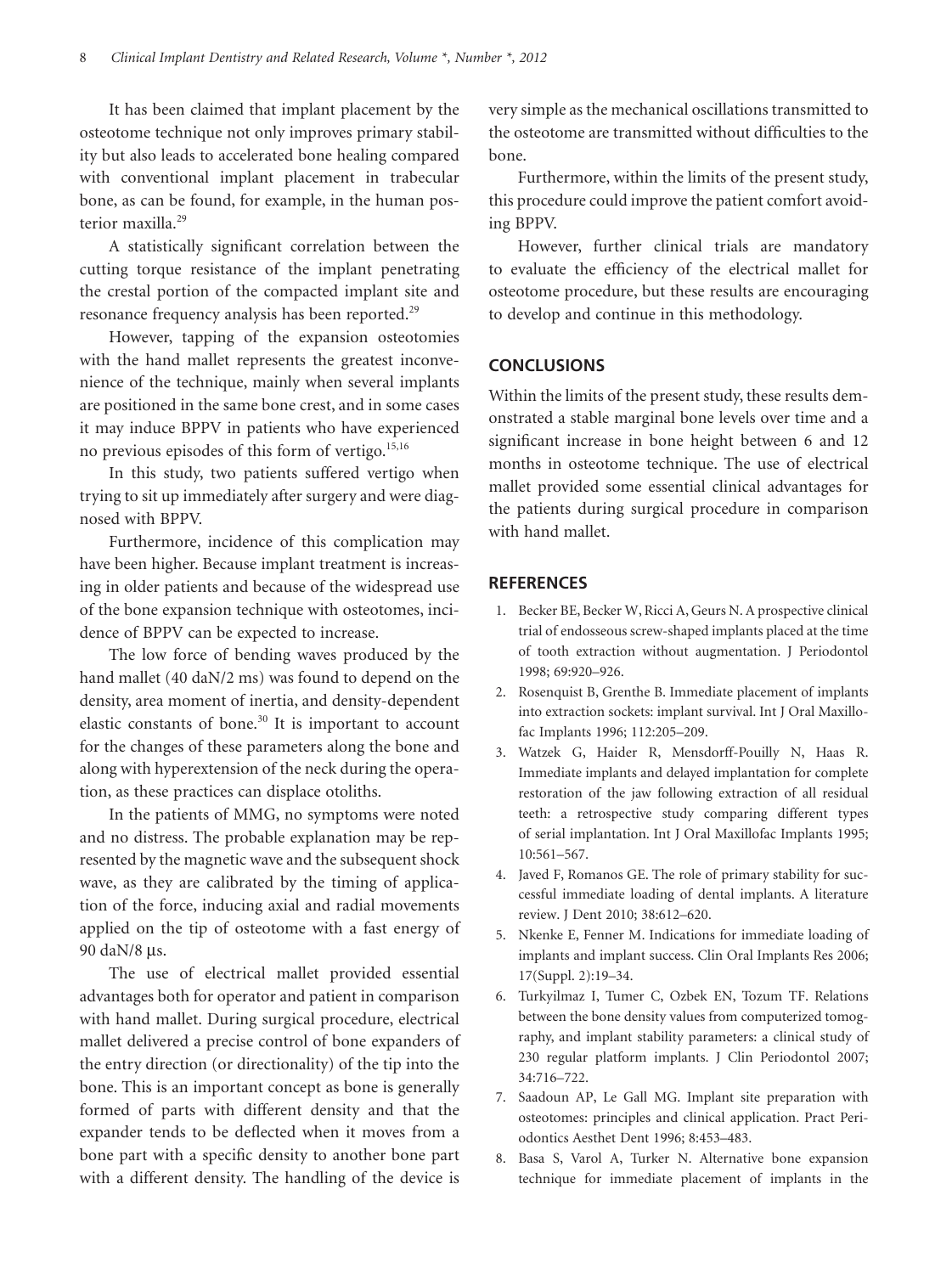It has been claimed that implant placement by the osteotome technique not only improves primary stability but also leads to accelerated bone healing compared with conventional implant placement in trabecular bone, as can be found, for example, in the human posterior maxilla.<sup>29</sup>

A statistically significant correlation between the cutting torque resistance of the implant penetrating the crestal portion of the compacted implant site and resonance frequency analysis has been reported.<sup>29</sup>

However, tapping of the expansion osteotomies with the hand mallet represents the greatest inconvenience of the technique, mainly when several implants are positioned in the same bone crest, and in some cases it may induce BPPV in patients who have experienced no previous episodes of this form of vertigo. $15,16$ 

In this study, two patients suffered vertigo when trying to sit up immediately after surgery and were diagnosed with BPPV.

Furthermore, incidence of this complication may have been higher. Because implant treatment is increasing in older patients and because of the widespread use of the bone expansion technique with osteotomes, incidence of BPPV can be expected to increase.

The low force of bending waves produced by the hand mallet (40 daN/2 ms) was found to depend on the density, area moment of inertia, and density-dependent elastic constants of bone.<sup>30</sup> It is important to account for the changes of these parameters along the bone and along with hyperextension of the neck during the operation, as these practices can displace otoliths.

In the patients of MMG, no symptoms were noted and no distress. The probable explanation may be represented by the magnetic wave and the subsequent shock wave, as they are calibrated by the timing of application of the force, inducing axial and radial movements applied on the tip of osteotome with a fast energy of 90 daN/8 µs.

The use of electrical mallet provided essential advantages both for operator and patient in comparison with hand mallet. During surgical procedure, electrical mallet delivered a precise control of bone expanders of the entry direction (or directionality) of the tip into the bone. This is an important concept as bone is generally formed of parts with different density and that the expander tends to be deflected when it moves from a bone part with a specific density to another bone part with a different density. The handling of the device is

very simple as the mechanical oscillations transmitted to the osteotome are transmitted without difficulties to the bone.

Furthermore, within the limits of the present study, this procedure could improve the patient comfort avoiding BPPV.

However, further clinical trials are mandatory to evaluate the efficiency of the electrical mallet for osteotome procedure, but these results are encouraging to develop and continue in this methodology.

#### **CONCLUSIONS**

Within the limits of the present study, these results demonstrated a stable marginal bone levels over time and a significant increase in bone height between 6 and 12 months in osteotome technique. The use of electrical mallet provided some essential clinical advantages for the patients during surgical procedure in comparison with hand mallet.

## **REFERENCES**

- 1. Becker BE, Becker W, Ricci A, Geurs N. A prospective clinical trial of endosseous screw-shaped implants placed at the time of tooth extraction without augmentation. J Periodontol 1998; 69:920–926.
- 2. Rosenquist B, Grenthe B. Immediate placement of implants into extraction sockets: implant survival. Int J Oral Maxillofac Implants 1996; 112:205–209.
- 3. Watzek G, Haider R, Mensdorff-Pouilly N, Haas R. Immediate implants and delayed implantation for complete restoration of the jaw following extraction of all residual teeth: a retrospective study comparing different types of serial implantation. Int J Oral Maxillofac Implants 1995; 10:561–567.
- 4. Javed F, Romanos GE. The role of primary stability for successful immediate loading of dental implants. A literature review. J Dent 2010; 38:612–620.
- 5. Nkenke E, Fenner M. Indications for immediate loading of implants and implant success. Clin Oral Implants Res 2006; 17(Suppl. 2):19–34.
- 6. Turkyilmaz I, Tumer C, Ozbek EN, Tozum TF. Relations between the bone density values from computerized tomography, and implant stability parameters: a clinical study of 230 regular platform implants. J Clin Periodontol 2007; 34:716–722.
- 7. Saadoun AP, Le Gall MG. Implant site preparation with osteotomes: principles and clinical application. Pract Periodontics Aesthet Dent 1996; 8:453–483.
- 8. Basa S, Varol A, Turker N. Alternative bone expansion technique for immediate placement of implants in the